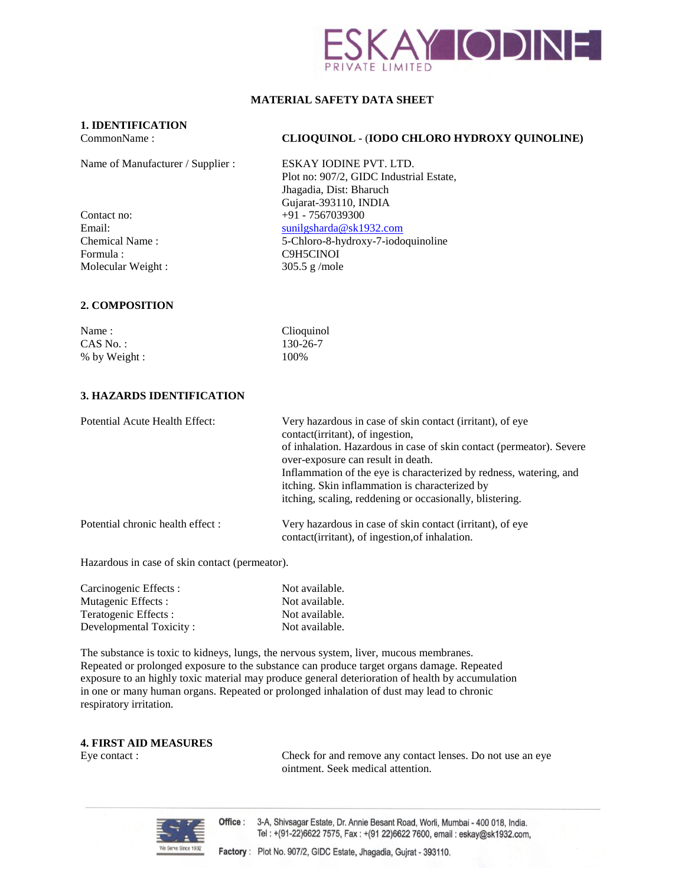

# **MATERIAL SAFETY DATA SHEET**

# **1. IDENTIFICATION**

Name of Manufacturer / Supplier : ESKAY IODINE PVT. LTD.

Formula : C9H5CINOI Molecular Weight : 305.5 g/mole

# CommonName : **CLIOQUINOL -** (**IODO CHLORO HYDROXY QUINOLINE)**

Plot no: 907/2, GIDC Industrial Estate, Jhagadia, Dist: Bharuch Gujarat-393110, INDIA Contact no: +91 - 7567039300 Email: [sunilgsharda@sk1932.com](mailto:sunilgsharda@sk1932.com) Chemical Name : 5-Chloro-8-hydroxy-7-iodoquinoline

### **2. COMPOSITION**

Name : Clioquinol CAS No.: 130-26-7 % by Weight : 100%

### **3. HAZARDS IDENTIFICATION**

| Potential Acute Health Effect:   | Very hazardous in case of skin contact (irritant), of eye<br>contact(irritant), of ingestion,<br>of inhalation. Hazardous in case of skin contact (permeator). Severe<br>over-exposure can result in death.<br>Inflammation of the eye is characterized by redness, watering, and<br>itching. Skin inflammation is characterized by |
|----------------------------------|-------------------------------------------------------------------------------------------------------------------------------------------------------------------------------------------------------------------------------------------------------------------------------------------------------------------------------------|
|                                  | itching, scaling, reddening or occasionally, blistering.                                                                                                                                                                                                                                                                            |
| Potential chronic health effect: | Very hazardous in case of skin contact (irritant), of eye<br>contact(irritant), of ingestion, of inhalation.                                                                                                                                                                                                                        |

Hazardous in case of skin contact (permeator).

| Carcinogenic Effects:   | Not available. |
|-------------------------|----------------|
| Mutagenic Effects :     | Not available. |
| Teratogenic Effects:    | Not available. |
| Developmental Toxicity: | Not available. |

The substance is toxic to kidneys, lungs, the nervous system, liver, mucous membranes. Repeated or prolonged exposure to the substance can produce target organs damage. Repeated exposure to an highly toxic material may produce general deterioration of health by accumulation in one or many human organs. Repeated or prolonged inhalation of dust may lead to chronic respiratory irritation.

### **4. FIRST AID MEASURES**

Eye contact : Check for and remove any contact lenses. Do not use an eye ointment. Seek medical attention.



Office: 3-A, Shivsagar Estate, Dr. Annie Besant Road, Worli, Mumbai - 400 018, India. Tel: +(91-22)6622 7575, Fax: +(91 22)6622 7600, email: eskay@sk1932.com,

Factory: Plot No. 907/2, GIDC Estate, Jhagadia, Gujrat - 393110.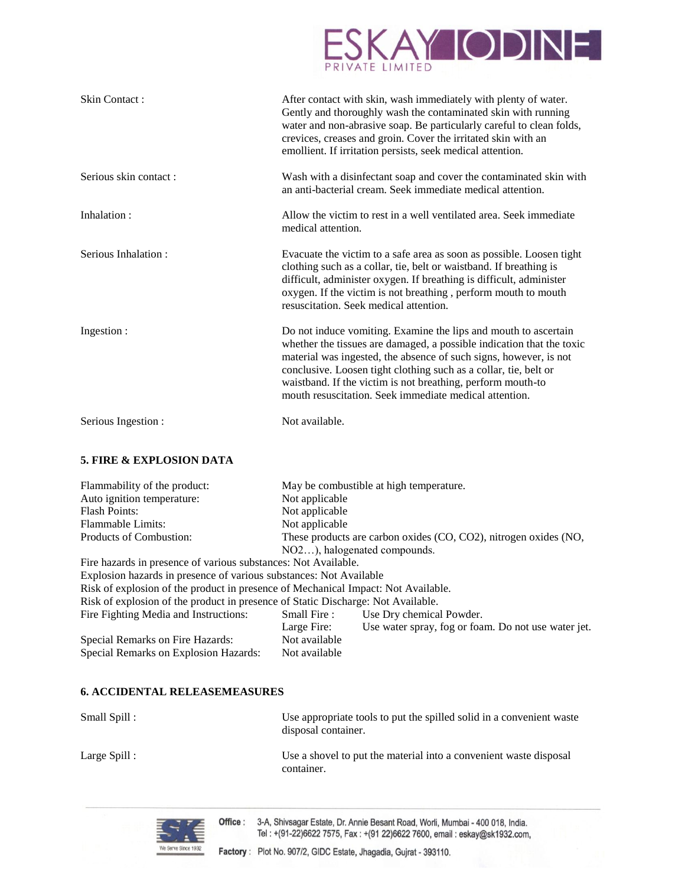

| Skin Contact:         | After contact with skin, wash immediately with plenty of water.<br>Gently and thoroughly wash the contaminated skin with running<br>water and non-abrasive soap. Be particularly careful to clean folds,<br>crevices, creases and groin. Cover the irritated skin with an<br>emollient. If irritation persists, seek medical attention.                                                                    |
|-----------------------|------------------------------------------------------------------------------------------------------------------------------------------------------------------------------------------------------------------------------------------------------------------------------------------------------------------------------------------------------------------------------------------------------------|
| Serious skin contact: | Wash with a disinfectant soap and cover the contaminated skin with<br>an anti-bacterial cream. Seek immediate medical attention.                                                                                                                                                                                                                                                                           |
| Inhalation:           | Allow the victim to rest in a well ventilated area. Seek immediate<br>medical attention.                                                                                                                                                                                                                                                                                                                   |
| Serious Inhalation:   | Evacuate the victim to a safe area as soon as possible. Loosen tight<br>clothing such as a collar, tie, belt or waistband. If breathing is<br>difficult, administer oxygen. If breathing is difficult, administer<br>oxygen. If the victim is not breathing, perform mouth to mouth<br>resuscitation. Seek medical attention.                                                                              |
| Ingestion :           | Do not induce vomiting. Examine the lips and mouth to ascertain<br>whether the tissues are damaged, a possible indication that the toxic<br>material was ingested, the absence of such signs, however, is not<br>conclusive. Loosen tight clothing such as a collar, tie, belt or<br>waistband. If the victim is not breathing, perform mouth-to<br>mouth resuscitation. Seek immediate medical attention. |
| Serious Ingestion :   | Not available.                                                                                                                                                                                                                                                                                                                                                                                             |

# **5. FIRE & EXPLOSION DATA**

| Flammability of the product:                                                      |                                                                  | May be combustible at high temperature.             |  |  |
|-----------------------------------------------------------------------------------|------------------------------------------------------------------|-----------------------------------------------------|--|--|
| Auto ignition temperature:                                                        | Not applicable                                                   |                                                     |  |  |
| <b>Flash Points:</b>                                                              | Not applicable                                                   |                                                     |  |  |
| Flammable Limits:                                                                 | Not applicable                                                   |                                                     |  |  |
| Products of Combustion:                                                           | These products are carbon oxides (CO, CO2), nitrogen oxides (NO, |                                                     |  |  |
|                                                                                   | NO2), halogenated compounds.                                     |                                                     |  |  |
| Fire hazards in presence of various substances: Not Available.                    |                                                                  |                                                     |  |  |
| Explosion hazards in presence of various substances: Not Available                |                                                                  |                                                     |  |  |
| Risk of explosion of the product in presence of Mechanical Impact: Not Available. |                                                                  |                                                     |  |  |
| Risk of explosion of the product in presence of Static Discharge: Not Available.  |                                                                  |                                                     |  |  |
| Fire Fighting Media and Instructions:                                             | Small Fire:                                                      | Use Dry chemical Powder.                            |  |  |
|                                                                                   | Large Fire:                                                      | Use water spray, fog or foam. Do not use water jet. |  |  |
| Special Remarks on Fire Hazards:                                                  | Not available                                                    |                                                     |  |  |
| Special Remarks on Explosion Hazards:                                             | Not available                                                    |                                                     |  |  |

#### **6. ACCIDENTAL RELEASEMEASURES**

Small Spill : Use appropriate tools to put the spilled solid in a convenient waste disposal container. Large Spill : Use a shovel to put the material into a convenient waste disposal container.



3-A, Shivsagar Estate, Dr. Annie Besant Road, Worli, Mumbai - 400 018, India. Office: Tel: +(91-22)6622 7575, Fax: +(91 22)6622 7600, email: eskay@sk1932.com,

Factory: Plot No. 907/2, GIDC Estate, Jhagadia, Gujrat - 393110.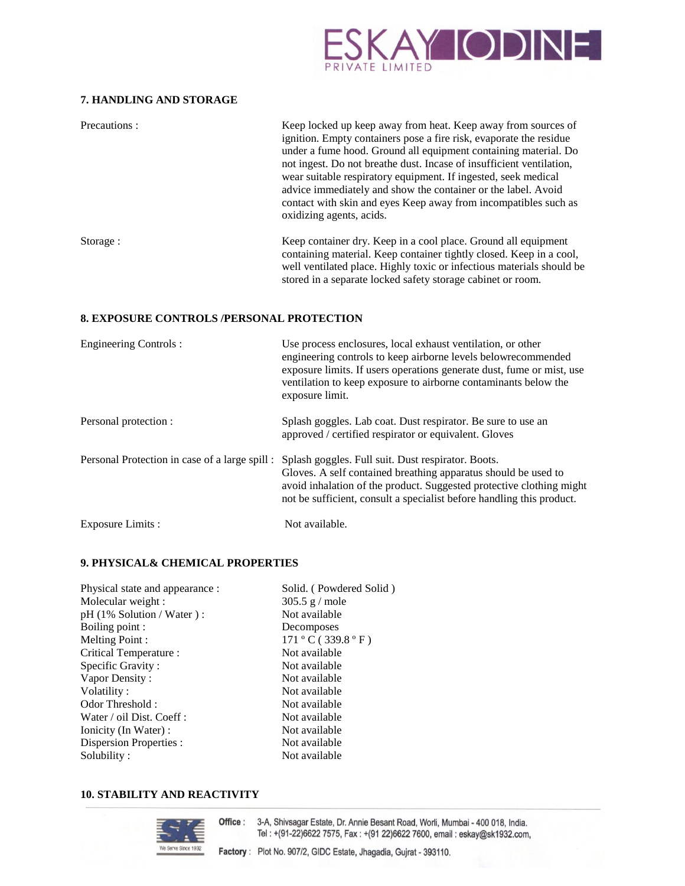

# **7. HANDLING AND STORAGE**

| Precautions: | Keep locked up keep away from heat. Keep away from sources of<br>ignition. Empty containers pose a fire risk, evaporate the residue<br>under a fume hood. Ground all equipment containing material. Do<br>not ingest. Do not breathe dust. Incase of insufficient ventilation,<br>wear suitable respiratory equipment. If ingested, seek medical<br>advice immediately and show the container or the label. Avoid<br>contact with skin and eyes Keep away from incompatibles such as<br>oxidizing agents, acids. |
|--------------|------------------------------------------------------------------------------------------------------------------------------------------------------------------------------------------------------------------------------------------------------------------------------------------------------------------------------------------------------------------------------------------------------------------------------------------------------------------------------------------------------------------|
| Storage :    | Keep container dry. Keep in a cool place. Ground all equipment<br>containing material. Keep container tightly closed. Keep in a cool,<br>well ventilated place. Highly toxic or infectious materials should be<br>stored in a separate locked safety storage cabinet or room.                                                                                                                                                                                                                                    |

#### **8. EXPOSURE CONTROLS /PERSONAL PROTECTION**

| <b>Engineering Controls:</b>                   | Use process enclosures, local exhaust ventilation, or other<br>engineering controls to keep airborne levels below recommended<br>exposure limits. If users operations generate dust, fume or mist, use<br>ventilation to keep exposure to airborne contaminants below the<br>exposure limit. |
|------------------------------------------------|----------------------------------------------------------------------------------------------------------------------------------------------------------------------------------------------------------------------------------------------------------------------------------------------|
| Personal protection :                          | Splash goggles. Lab coat. Dust respirator. Be sure to use an<br>approved / certified respirator or equivalent. Gloves                                                                                                                                                                        |
| Personal Protection in case of a large spill : | Splash goggles. Full suit. Dust respirator. Boots.<br>Gloves. A self contained breathing apparatus should be used to<br>avoid inhalation of the product. Suggested protective clothing might<br>not be sufficient, consult a specialist before handling this product.                        |
| Exposure Limits :                              | Not available.                                                                                                                                                                                                                                                                               |

# **9. PHYSICAL& CHEMICAL PROPERTIES**

| Physical state and appearance :  | Solid. (Powdered Solid) |
|----------------------------------|-------------------------|
| Molecular weight :               | $305.5$ g / mole        |
| $pH (1\%$ Solution / Water $)$ : | Not available           |
| Boiling point :                  | Decomposes              |
| Melting Point:                   | 171 °C(339.8 °F)        |
| Critical Temperature :           | Not available           |
| Specific Gravity:                | Not available           |
| Vapor Density:                   | Not available           |
| Volatility:                      | Not available           |
| Odor Threshold:                  | Not available           |
| Water / oil Dist. Coeff :        | Not available           |
| Ionicity (In Water) :            | Not available           |
| <b>Dispersion Properties:</b>    | Not available           |
| Solubility:                      | Not available           |

# **10. STABILITY AND REACTIVITY**

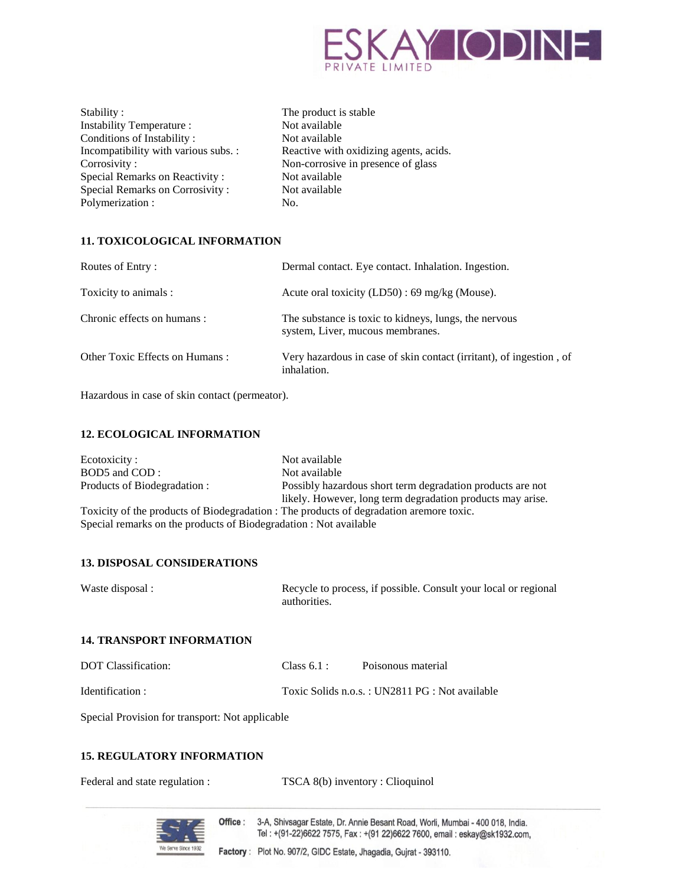

| Stability:                           | The |
|--------------------------------------|-----|
| Instability Temperature :            | Not |
| Conditions of Instability:           | Not |
| Incompatibility with various subs. : | Rea |
| Corrosivity:                         | Nor |
| Special Remarks on Reactivity:       | Not |
| Special Remarks on Corrosivity:      | Not |
| Polymerization:                      | No. |
|                                      |     |

The product is stable Not available Not available Reactive with oxidizing agents, acids. Non-corrosive in presence of glass Not available Not available

# **11. TOXICOLOGICAL INFORMATION**

| Routes of Entry:               | Dermal contact. Eye contact. Inhalation. Ingestion.                                       |
|--------------------------------|-------------------------------------------------------------------------------------------|
| Toxicity to animals :          | Acute oral toxicity $(LD50)$ : 69 mg/kg (Mouse).                                          |
| Chronic effects on humans :    | The substance is toxic to kidneys, lungs, the nervous<br>system, Liver, mucous membranes. |
| Other Toxic Effects on Humans: | Very hazardous in case of skin contact (irritant), of ingestion, of<br>inhalation.        |

Hazardous in case of skin contact (permeator).

### **12. ECOLOGICAL INFORMATION**

| Ecotoxicity:                                                                            | Not available                                              |  |  |
|-----------------------------------------------------------------------------------------|------------------------------------------------------------|--|--|
| BOD5 and COD:                                                                           | Not available                                              |  |  |
| Products of Biodegradation :                                                            | Possibly hazardous short term degradation products are not |  |  |
|                                                                                         | likely. However, long term degradation products may arise. |  |  |
| Toxicity of the products of Biodegradation : The products of degradation aremore toxic. |                                                            |  |  |
| Special remarks on the products of Biodegradation : Not available                       |                                                            |  |  |

# **13. DISPOSAL CONSIDERATIONS**

Waste disposal : Recycle to process, if possible. Consult your local or regional authorities.

# **14. TRANSPORT INFORMATION**

| DOT Classification: | Class 6.1: | Poisonous material                             |
|---------------------|------------|------------------------------------------------|
| Identification :    |            | Toxic Solids n.o.s.: UN2811 PG : Not available |

Special Provision for transport: Not applicable

# **15. REGULATORY INFORMATION**

| Federal and state regulation : |  | TSCA 8(b) inventory : Clioquinol |  |
|--------------------------------|--|----------------------------------|--|
|--------------------------------|--|----------------------------------|--|



Office: 3-A, Shivsagar Estate, Dr. Annie Besant Road, Worli, Mumbai - 400 018, India. Tel: +(91-22)6622 7575, Fax: +(91 22)6622 7600, email: eskay@sk1932.com,

Factory: Plot No. 907/2, GIDC Estate, Jhagadia, Gujrat - 393110.